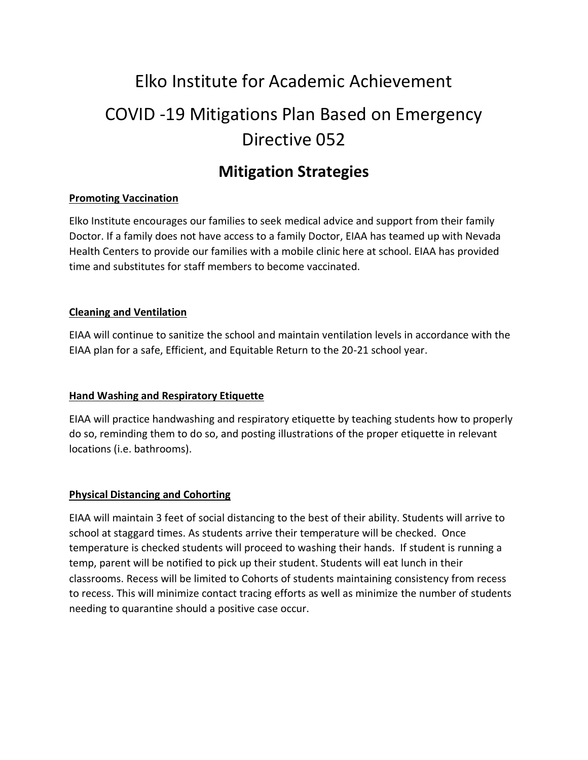# Elko Institute for Academic Achievement COVID -19 Mitigations Plan Based on Emergency Directive 052

# **Mitigation Strategies**

#### **Promoting Vaccination**

Elko Institute encourages our families to seek medical advice and support from their family Doctor. If a family does not have access to a family Doctor, EIAA has teamed up with Nevada Health Centers to provide our families with a mobile clinic here at school. EIAA has provided time and substitutes for staff members to become vaccinated.

#### **Cleaning and Ventilation**

EIAA will continue to sanitize the school and maintain ventilation levels in accordance with the EIAA plan for a safe, Efficient, and Equitable Return to the 20-21 school year.

#### **Hand Washing and Respiratory Etiquette**

EIAA will practice handwashing and respiratory etiquette by teaching students how to properly do so, reminding them to do so, and posting illustrations of the proper etiquette in relevant locations (i.e. bathrooms).

#### **Physical Distancing and Cohorting**

EIAA will maintain 3 feet of social distancing to the best of their ability. Students will arrive to school at staggard times. As students arrive their temperature will be checked. Once temperature is checked students will proceed to washing their hands. If student is running a temp, parent will be notified to pick up their student. Students will eat lunch in their classrooms. Recess will be limited to Cohorts of students maintaining consistency from recess to recess. This will minimize contact tracing efforts as well as minimize the number of students needing to quarantine should a positive case occur.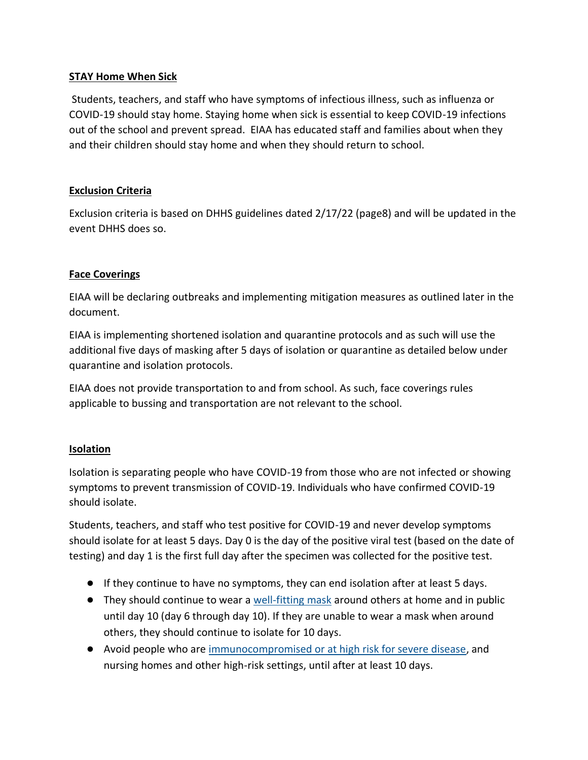#### **STAY Home When Sick**

Students, teachers, and staff who have symptoms of infectious illness, such as influenza or COVID-19 should stay home. Staying home when sick is essential to keep COVID-19 infections out of the school and prevent spread. EIAA has educated staff and families about when they and their children should stay home and when they should return to school.

#### **Exclusion Criteria**

Exclusion criteria is based on DHHS guidelines dated 2/17/22 (page8) and will be updated in the event DHHS does so.

#### **Face Coverings**

EIAA will be declaring outbreaks and implementing mitigation measures as outlined later in the document.

EIAA is implementing shortened isolation and quarantine protocols and as such will use the additional five days of masking after 5 days of isolation or quarantine as detailed below under quarantine and isolation protocols.

EIAA does not provide transportation to and from school. As such, face coverings rules applicable to bussing and transportation are not relevant to the school.

#### **Isolation**

Isolation is separating people who have COVID-19 from those who are not infected or showing symptoms to prevent transmission of COVID-19. Individuals who have confirmed COVID-19 should isolate.

Students, teachers, and staff who test positive for COVID-19 and never develop symptoms should isolate for at least 5 days. Day 0 is the day of the positive viral test (based on the date of testing) and day 1 is the first full day after the specimen was collected for the positive test.

- If they continue to have no symptoms, they can end isolation after at least 5 days.
- They should continue to wear a [well-fitting mask](https://www.cdc.gov/coronavirus/2019-ncov/your-health/effective-masks.html) around others at home and in public until day 10 (day 6 through day 10). If they are unable to wear a mask when around others, they should continue to isolate for 10 days.
- Avoid people who are [immunocompromised or at high risk for severe disease,](https://www.cdc.gov/coronavirus/2019-ncov/need-extra-precautions/people-with-medical-conditions.html) and nursing homes and other high-risk settings, until after at least 10 days.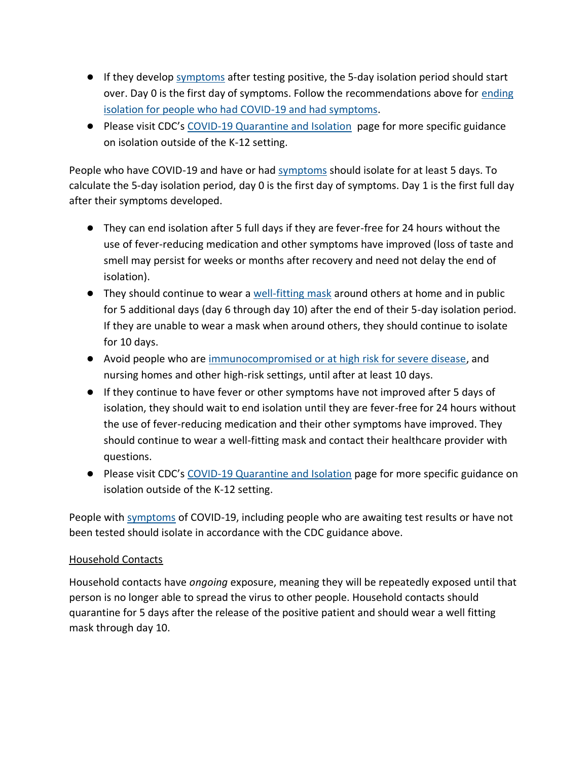- If they develo[p symptoms](https://www.cdc.gov/coronavirus/2019-ncov/symptoms-testing/symptoms.html) after testing positive, the 5-day isolation period should start over. Day 0 is the first day of symptoms. Follow the recommendations above for [ending](https://www.cdc.gov/coronavirus/2019-ncov/your-health/quarantine-isolation.html#_Ending_isolation_for)  [isolation for people who had COVID-19 and had symptoms.](https://www.cdc.gov/coronavirus/2019-ncov/your-health/quarantine-isolation.html#_Ending_isolation_for)
- Please visit CDC's [COVID-19 Quarantine and Isolation](https://www.cdc.gov/coronavirus/2019-ncov/your-health/quarantine-isolation.html) page for more specific guidance on isolation outside of the K-12 setting.

People who have COVID-19 and have or had [symptoms](https://www.cdc.gov/coronavirus/2019-ncov/symptoms-testing/symptoms.html) should isolate for at least 5 days. To calculate the 5-day isolation period, day 0 is the first day of symptoms. Day 1 is the first full day after their symptoms developed.

- They can end isolation after 5 full days if they are fever-free for 24 hours without the use of fever-reducing medication and other symptoms have improved (loss of taste and smell may persist for weeks or months after recovery and need not delay the end of isolation).
- They should continue to wear a [well-fitting mask](https://www.cdc.gov/coronavirus/2019-ncov/your-health/effective-masks.html) around others at home and in public for 5 additional days (day 6 through day 10) after the end of their 5-day isolation period. If they are unable to wear a mask when around others, they should continue to isolate for 10 days.
- Avoid people who are [immunocompromised or at high risk for severe disease,](https://www.cdc.gov/coronavirus/2019-ncov/need-extra-precautions/people-with-medical-conditions.html) and nursing homes and other high-risk settings, until after at least 10 days.
- If they continue to have fever or other symptoms have not improved after 5 days of isolation, they should wait to end isolation until they are fever-free for 24 hours without the use of fever-reducing medication and their other symptoms have improved. They should continue to wear a well-fitting mask and contact their healthcare provider with questions.
- Please visit CDC's [COVID-19 Quarantine and Isolation](https://www.cdc.gov/coronavirus/2019-ncov/your-health/quarantine-isolation.html) page for more specific guidance on isolation outside of the K-12 setting.

People with [symptoms](https://www.cdc.gov/coronavirus/2019-ncov/symptoms-testing/symptoms.html) of COVID-19, including people who are awaiting test results or have not been tested should isolate in accordance with the CDC guidance above.

#### Household Contacts

Household contacts have *ongoing* exposure, meaning they will be repeatedly exposed until that person is no longer able to spread the virus to other people. Household contacts should quarantine for 5 days after the release of the positive patient and should wear a well fitting mask through day 10.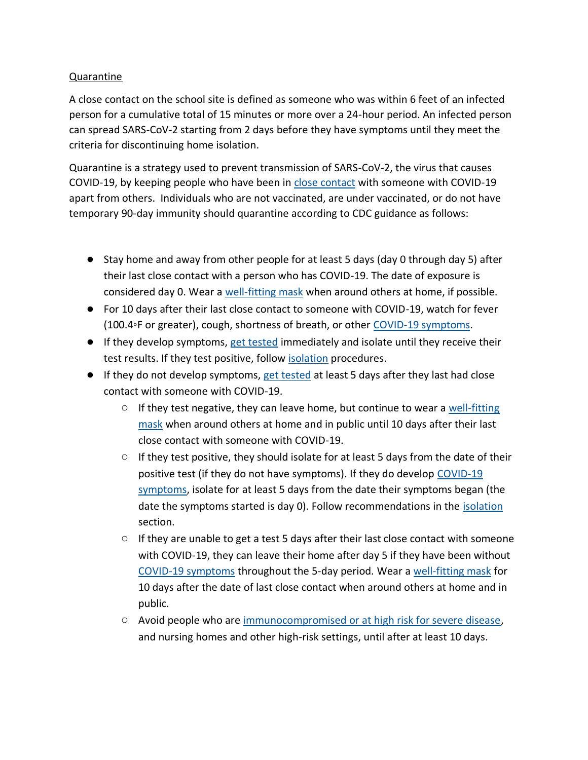#### Quarantine

A close contact on the school site is defined as someone who was within 6 feet of an infected person for a cumulative total of 15 minutes or more over a 24-hour period. An infected person can spread SARS-CoV-2 starting from 2 days before they have symptoms until they meet the criteria for discontinuing home isolation.

Quarantine is a strategy used to prevent transmission of SARS-CoV-2, the virus that causes COVID-19, by keeping people who have been in [close contact](https://www.cdc.gov/coronavirus/2019-ncov/php/contact-tracing/contact-tracing-plan/appendix.html#contact) with someone with COVID-19 apart from others. Individuals who are not vaccinated, are under vaccinated, or do not have temporary 90-day immunity should quarantine according to CDC guidance as follows:

- Stay home and away from other people for at least 5 days (day 0 through day 5) after their last close contact with a person who has COVID-19. The date of exposure is considered day 0. Wear a [well-fitting mask](https://www.cdc.gov/coronavirus/2019-ncov/your-health/effective-masks.html) when around others at home, if possible.
- For 10 days after their last close contact to someone with COVID-19, watch for fever (100.4◦F or greater), cough, shortness of breath, or other [COVID-19 symptoms.](https://www.cdc.gov/coronavirus/2019-ncov/symptoms-testing/symptoms.html)
- If they develop symptoms, [get tested](https://www.cdc.gov/coronavirus/2019-ncov/testing/diagnostic-testing.html) immediately and isolate until they receive their test results. If they test positive, follow [isolation](https://www.cdc.gov/coronavirus/2019-ncov/community/schools-childcare/k-12-contact-tracing/about-isolation.html) procedures.
- If they do not develop symptoms, [get tested](https://www.cdc.gov/coronavirus/2019-ncov/testing/diagnostic-testing.html) at least 5 days after they last had close contact with someone with COVID-19.
	- $\circ$  If they test negative, they can leave home, but continue to wear a well-fitting [mask](https://www.cdc.gov/coronavirus/2019-ncov/your-health/effective-masks.html) when around others at home and in public until 10 days after their last close contact with someone with COVID-19.
	- If they test positive, they should isolate for at least 5 days from the date of their positive test (if they do not have symptoms). If they do develop [COVID-19](https://www.cdc.gov/coronavirus/2019-ncov/symptoms-testing/symptoms.html)  [symptoms,](https://www.cdc.gov/coronavirus/2019-ncov/symptoms-testing/symptoms.html) isolate for at least 5 days from the date their symptoms began (the date the symptoms started is day 0). Follow recommendations in the [isolation](https://www.cdc.gov/coronavirus/2019-ncov/your-health/quarantine-isolation.html#isolation) section.
	- $\circ$  If they are unable to get a test 5 days after their last close contact with someone with COVID-19, they can leave their home after day 5 if they have been without [COVID-19 symptoms](https://www.cdc.gov/coronavirus/2019-ncov/symptoms-testing/symptoms.html) throughout the 5-day period. Wear a [well-fitting mask](https://www.cdc.gov/coronavirus/2019-ncov/your-health/effective-masks.html) for 10 days after the date of last close contact when around others at home and in public.
	- Avoid people who are [immunocompromised or at high risk for severe disease,](https://www.cdc.gov/coronavirus/2019-ncov/need-extra-precautions/people-with-medical-conditions.html) and nursing homes and other high-risk settings, until after at least 10 days.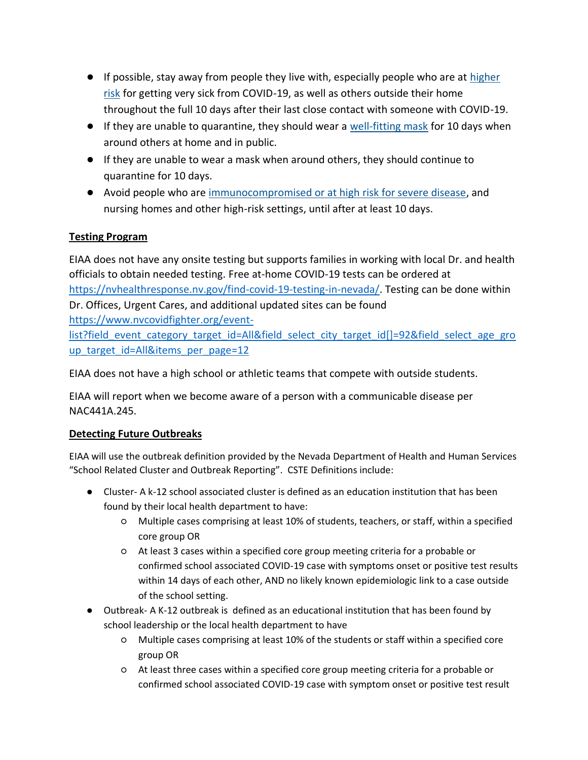- If possible, stay away from people they live with, especially people who are at [higher](https://www.cdc.gov/coronavirus/2019-ncov/need-extra-precautions/index.html)  [risk](https://www.cdc.gov/coronavirus/2019-ncov/need-extra-precautions/index.html) for getting very sick from COVID-19, as well as others outside their home throughout the full 10 days after their last close contact with someone with COVID-19.
- If they are unable to quarantine, they should wear a [well-fitting mask](https://www.cdc.gov/coronavirus/2019-ncov/your-health/effective-masks.html) for 10 days when around others at home and in public.
- If they are unable to wear a mask when around others, they should continue to quarantine for 10 days.
- Avoid people who are [immunocompromised or at high risk for severe disease,](https://www.cdc.gov/coronavirus/2019-ncov/need-extra-precautions/people-with-medical-conditions.html) and nursing homes and other high-risk settings, until after at least 10 days.

## **Testing Program**

EIAA does not have any onsite testing but supports families in working with local Dr. and health officials to obtain needed testing. Free at-home COVID-19 tests can be ordered at [https://nvhealthresponse.nv.gov/find-covid-19-testing-in-nevada/.](https://nvhealthresponse.nv.gov/find-covid-19-testing-in-nevada/) Testing can be done within Dr. Offices, Urgent Cares, and additional updated sites can be found [https://www.nvcovidfighter.org/event](https://www.nvcovidfighter.org/event-list?field_event_category_target_id=All&field_select_city_target_id%5b%5d=92&field_select_age_group_target_id=All&items_per_page=12)[list?field\\_event\\_category\\_target\\_id=All&field\\_select\\_city\\_target\\_id\[\]=92&field\\_select\\_age\\_gro](https://www.nvcovidfighter.org/event-list?field_event_category_target_id=All&field_select_city_target_id%5b%5d=92&field_select_age_group_target_id=All&items_per_page=12) up target id=All&items per page=12

EIAA does not have a high school or athletic teams that compete with outside students.

EIAA will report when we become aware of a person with a communicable disease per NAC441A.245.

## **Detecting Future Outbreaks**

EIAA will use the outbreak definition provided by the Nevada Department of Health and Human Services "School Related Cluster and Outbreak Reporting". CSTE Definitions include:

- Cluster- A k-12 school associated cluster is defined as an education institution that has been found by their local health department to have:
	- Multiple cases comprising at least 10% of students, teachers, or staff, within a specified core group OR
	- At least 3 cases within a specified core group meeting criteria for a probable or confirmed school associated COVID-19 case with symptoms onset or positive test results within 14 days of each other, AND no likely known epidemiologic link to a case outside of the school setting.
- Outbreak- A K-12 outbreak is defined as an educational institution that has been found by school leadership or the local health department to have
	- Multiple cases comprising at least 10% of the students or staff within a specified core group OR
	- At least three cases within a specified core group meeting criteria for a probable or confirmed school associated COVID-19 case with symptom onset or positive test result